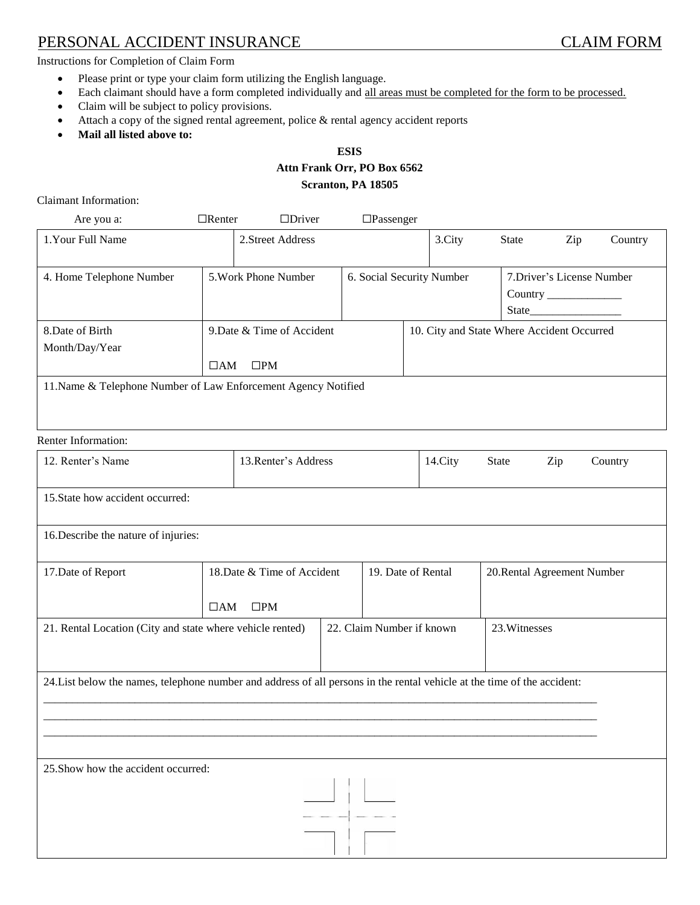# PERSONAL ACCIDENT INSURANCE CLAIM FORM

Instructions for Completion of Claim Form

- Please print or type your claim form utilizing the English language.
- Each claimant should have a form completed individually and all areas must be completed for the form to be processed.
- Claim will be subject to policy provisions.
- Attach a copy of the signed rental agreement, police & rental agency accident reports
- **Mail all listed above to:**

# **ESIS Attn Frank Orr, PO Box 6562 Scranton, PA 18505**

Claimant Information:

| Are you a:                                                     | $\Box$ Renter | $\Box$ Driver              | $\Box$ Passenger          |  |                                            |                            |                        |         |
|----------------------------------------------------------------|---------------|----------------------------|---------------------------|--|--------------------------------------------|----------------------------|------------------------|---------|
| 1. Your Full Name                                              |               | 2. Street Address          |                           |  | 3.City                                     | <b>State</b>               | Zip                    | Country |
|                                                                |               |                            |                           |  |                                            |                            |                        |         |
| 4. Home Telephone Number                                       |               | 5. Work Phone Number       | 6. Social Security Number |  |                                            | 7. Driver's License Number |                        |         |
|                                                                |               |                            |                           |  |                                            |                            | <b>Country</b> country |         |
|                                                                |               |                            |                           |  |                                            | State_____                 |                        |         |
| 8. Date of Birth                                               |               | 9. Date & Time of Accident |                           |  | 10. City and State Where Accident Occurred |                            |                        |         |
| Month/Day/Year                                                 |               |                            |                           |  |                                            |                            |                        |         |
|                                                                | $\Box AM$     | $\square$ PM               |                           |  |                                            |                            |                        |         |
| 11. Name & Telephone Number of Law Enforcement Agency Notified |               |                            |                           |  |                                            |                            |                        |         |
|                                                                |               |                            |                           |  |                                            |                            |                        |         |
|                                                                |               |                            |                           |  |                                            |                            |                        |         |

# Renter Information:

| 12. Renter's Name                                                                                                        |                                                          | 13. Renter's Address |                           | 14.City                     | <b>State</b>  | Zip | Country |
|--------------------------------------------------------------------------------------------------------------------------|----------------------------------------------------------|----------------------|---------------------------|-----------------------------|---------------|-----|---------|
| 15. State how accident occurred:                                                                                         |                                                          |                      |                           |                             |               |     |         |
| 16. Describe the nature of injuries:                                                                                     |                                                          |                      |                           |                             |               |     |         |
| 17. Date of Report                                                                                                       | 18. Date & Time of Accident<br>$\Box AM$<br>$\square PM$ | 19. Date of Rental   |                           | 20. Rental Agreement Number |               |     |         |
| 21. Rental Location (City and state where vehicle rented)                                                                |                                                          |                      | 22. Claim Number if known |                             | 23. Witnesses |     |         |
| 24. List below the names, telephone number and address of all persons in the rental vehicle at the time of the accident: |                                                          |                      |                           |                             |               |     |         |
| 25. Show how the accident occurred:                                                                                      |                                                          |                      |                           |                             |               |     |         |